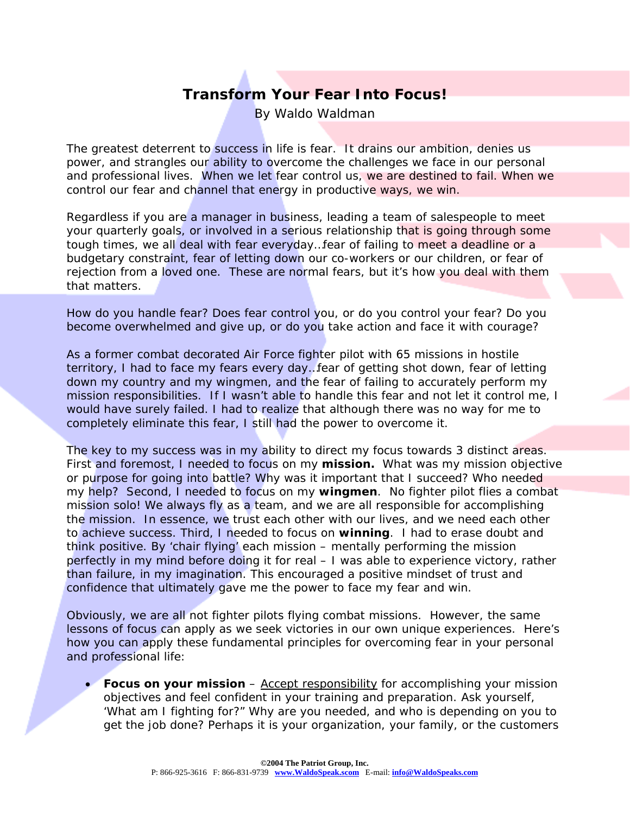## **Transform Your Fear Into Focus!**

*By Waldo Waldman* 

The greatest deterrent to success in life is fear. It drains our ambition, denies us power, and strangles our ability to overcome the challenges we face in our personal and professional lives. When we let fear control us, we are destined to fail. When we control our fear and channel that energy in productive ways, we win.

Regardless if you are a manager in business, leading a team of salespeople to meet your quarterly goals, or involved in a serious relationship that is going through some tough times, we all deal with fear everyday…fear of failing to meet a deadline or a budgetary constraint, fear of letting down our co-workers or our children, or fear of rejection from a loved one. These are normal fears, but it's how you deal with them that matters.

How do you handle fear? Does fear control you, or do you control your fear? Do you become overwhelmed and give up, or do you take action and face it with courage?

As a former combat decorated Air Force fighter pilot with 65 missions in hostile territory, I had to face my fears every day…fear of getting shot down, fear of letting down my country and my wingmen, and the fear of failing to accurately perform my mission responsibilities. If I wasn't able to handle this fear and not let it control me, I would have surely failed. I had to realize that although there was no way for me to completely eliminate this fear, I still had the power to overcome it.

The key to my success was in my ability to direct my focus towards 3 distinct areas. First and foremost, I needed to focus on my **mission.** What was my mission objective or purpose for going into battle? Why was it important that I succeed? Who needed my help? Second, I needed to focus on my **wingmen**. No fighter pilot flies a combat mission solo! We always fly as a team, and we are *all* responsible for accomplishing the mission. In essence, we trust each other with our lives, and we need each other to achieve success. Third, I needed to focus on **winning**. I had to erase doubt and think positive. By 'chair flying' each mission – mentally performing the mission perfectly in my mind before doing it for real – I was able to experience victory, rather than failure, in my imagination. This encouraged a positive mindset of trust and confidence that ultimately gave me the power to face my fear and win.

Obviously, we are all not fighter pilots flying combat missions. However, the same lessons of focus can apply as we seek victories in our own unique experiences. Here's how you can apply these fundamental principles for overcoming fear in your personal and professional life:

• **Focus on your mission** – Accept responsibility for accomplishing your mission objectives and feel confident in your training and preparation. Ask yourself, 'What am I fighting for?" Why are you needed, and who is depending on you to get the job done? Perhaps it is your organization, your family, or the customers